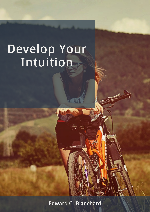Edward C. Blanchard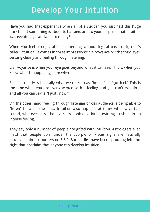Have you had that experience when all of a sudden you just had this huge hunch that something is about to happen, and to your surprise, that intuition was eventually translated to reality?

When you feel strongly about something without logical basis to it, that's called intuition. It comes in three impressions: clairvoyance or "the third eye", sensing clearly and feeling through listening.

Clairvoyance is when your eye goes beyond what it can see. This is when you know what is happening somewhere.

Sensing clearly is basically what we refer to as "hunch" or "gut feel." This is the time when you are overwhelmed with a feeling and you can't explain it and all you can say is "I just know."

On the other hand, feeling through listening or clairaudience is being able to "listen" between the lines. Intuition also happens at times when a certain sound, whatever it is - be it a car's honk or a bird's twitting - ushers in an intense feeling.

They say only a number of people are gifted with intuition. Astrologers even insist that people born under the Scorpio or Pisces signs are naturally intuitive it almost borders on E.S.P. But studies have been sprouting left and right that proclaim that anyone can develop intuition.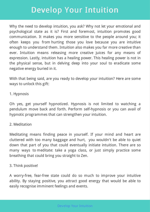Why the need to develop intuition, you ask? Why not let your emotional and psychological state as it is? First and foremost, intuition promotes good communication. It makes you more sensitive to the people around you; it often keeps you from hurting those you love because you are intuitive enough to understand them. Intuition also makes you far more creative than ever. Intuition means releasing more creative juices for any means of expression. Lastly, intuition has a healing power. This healing power is not in the physical sense, but in delving deep into your soul to eradicate some negative energy buried in it.

With that being said, are you ready to develop your intuition? Here are some ways to unlock this gift:

#### 1. Hypnosis

Oh yes, get yourself hypnotized. Hypnosis is not limited to watching a pendulum move back and forth. Perform self-hypnosis or you can avail of hypnotic programmes that can strengthen your intuition.

#### 2. Meditation

Meditating means finding peace in yourself. If your mind and heart are cluttered with too many baggage and hurt, you wouldn't be able to quiet down that part of you that could eventually initiate intuition. There are so many ways to meditate: take a yoga class, or just simply practice some breathing that could bring you straight to Zen.

#### 3. Think positive!

A worry-free, fear-free state could do so much to improve your intuitive ability. By staying positive, you attract good energy that would be able to easily recognise imminent feelings and events.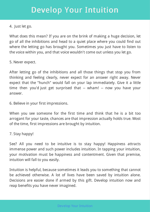#### 4. Just let go.

What does this mean? If you are on the brink of making a huge decision, let go of all the inhibitions and head to a quiet place where you could find out where the letting go has brought you. Sometimes you just have to listen to the voice within you, and that voice wouldn't come out unless you let go.

5. Never expect.

After letting go of the inhibitions and all those things that stop you from thinking and feeling clearly, never expect for an answer right away. Never expect that the "hunch" would fall on your lap immediately. Give it a little time then you'd just get surprised that -- wham! -- now you have your answer.

6. Believe in your first impressions.

When you see someone for the first time and think that he is a bit too arrogant for your taste, chances are that impression actually holds true. Most of the time, first impressions are brought by intuition.

7. Stay happy!

See? All you need to be intuitive is to stay happy! Happiness attracts immense power and such power includes intuition. In tapping your intuition, your motivation must be happiness and contentment. Given that premise, intuition will fall to you easily.

Intuition is helpful, because sometimes it leads you to something that cannot be achieved otherwise. A lot of lives have been saved by intuition alone. Decisions are easier done if armed by this gift. Develop intuition now and reap benefits you have never imagined.